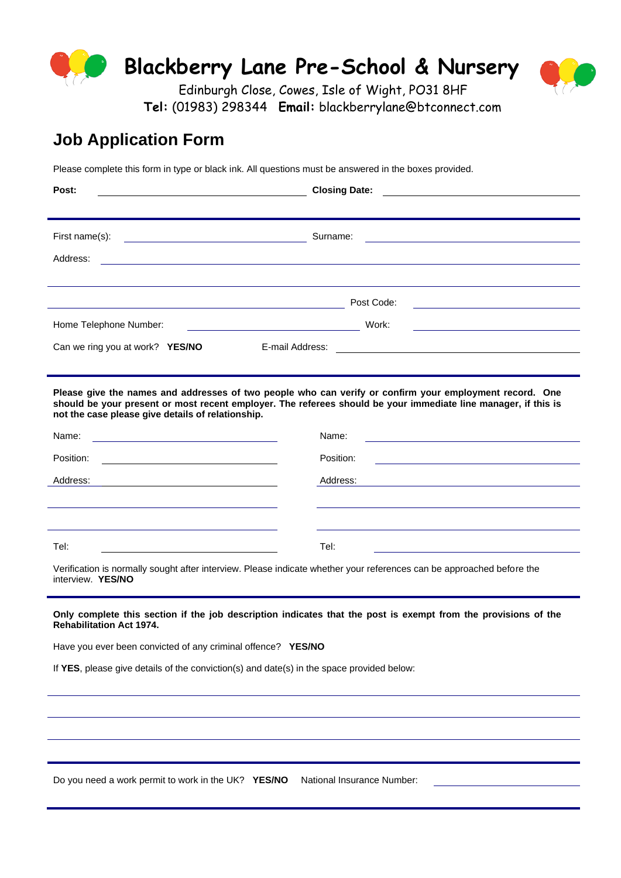

 **Tel:** (01983) 298344 **Email:** blackberrylane@btconnect.com

# **Job Application Form**

Please complete this form in type or black ink. All questions must be answered in the boxes provided.

| Post:                                                                                                                                      | <b>Closing Date:</b>                                                                                                                                                                                                      |
|--------------------------------------------------------------------------------------------------------------------------------------------|---------------------------------------------------------------------------------------------------------------------------------------------------------------------------------------------------------------------------|
|                                                                                                                                            |                                                                                                                                                                                                                           |
| First name(s):<br><u> 1999 - Johann Barn, mars et al. (b. 1989)</u>                                                                        | Surname:                                                                                                                                                                                                                  |
| Address:                                                                                                                                   |                                                                                                                                                                                                                           |
|                                                                                                                                            |                                                                                                                                                                                                                           |
|                                                                                                                                            | Post Code:<br>the control of the control of the control of the control of the control of the control of                                                                                                                   |
| Home Telephone Number:                                                                                                                     | Work:                                                                                                                                                                                                                     |
| Can we ring you at work? YES/NO<br>E-mail Address:                                                                                         |                                                                                                                                                                                                                           |
|                                                                                                                                            |                                                                                                                                                                                                                           |
| not the case please give details of relationship.                                                                                          | Please give the names and addresses of two people who can verify or confirm your employment record. One<br>should be your present or most recent employer. The referees should be your immediate line manager, if this is |
| Name:<br><u> 1989 - Johann Barn, mars ann an t-Amhain ann an t-Amhain an t-Amhain an t-Amhain an t-Amhain an t-Amhain an t-</u>            | Name:                                                                                                                                                                                                                     |
| Position:                                                                                                                                  | Position:<br><u> 1980 - Johann Barbara, martin amerikan basal da</u>                                                                                                                                                      |
| Address:                                                                                                                                   | Address:                                                                                                                                                                                                                  |
|                                                                                                                                            |                                                                                                                                                                                                                           |
|                                                                                                                                            |                                                                                                                                                                                                                           |
| Tel:                                                                                                                                       | Tel:                                                                                                                                                                                                                      |
| Verification is normally sought after interview. Please indicate whether your references can be approached before the<br>interview. YES/NO |                                                                                                                                                                                                                           |
| <b>Rehabilitation Act 1974.</b>                                                                                                            | Only complete this section if the job description indicates that the post is exempt from the provisions of the                                                                                                            |
| Have you ever been convicted of any criminal offence? YES/NO                                                                               |                                                                                                                                                                                                                           |
| If YES, please give details of the conviction(s) and date(s) in the space provided below:                                                  |                                                                                                                                                                                                                           |
|                                                                                                                                            |                                                                                                                                                                                                                           |
|                                                                                                                                            |                                                                                                                                                                                                                           |
|                                                                                                                                            |                                                                                                                                                                                                                           |
|                                                                                                                                            |                                                                                                                                                                                                                           |
| Do you need a work permit to work in the UK? YES/NO                                                                                        | National Insurance Number:                                                                                                                                                                                                |
|                                                                                                                                            |                                                                                                                                                                                                                           |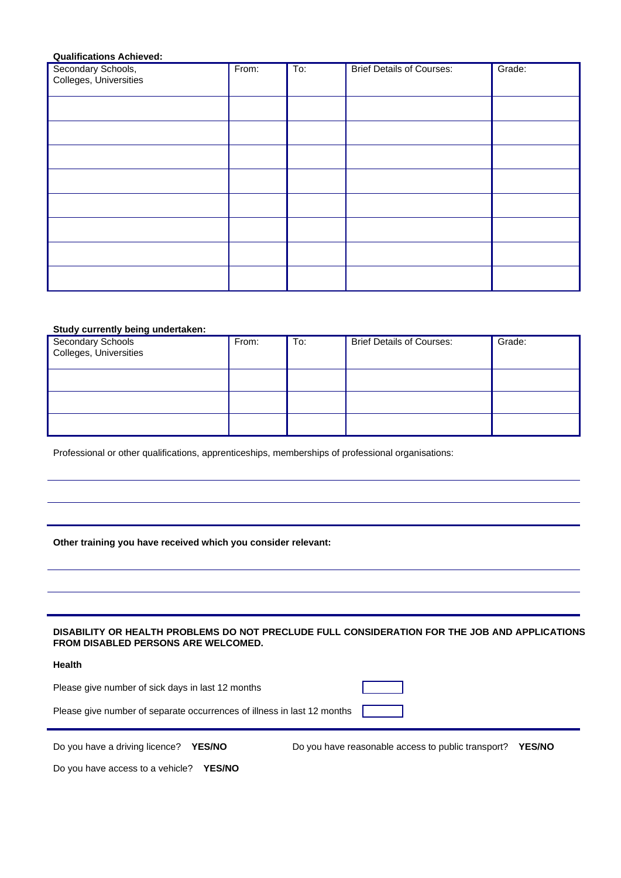# **Qualifications Achieved:**

| Secondary Schools,<br>Colleges, Universities | From: | $\overline{\text{To:}}$ | <b>Brief Details of Courses:</b> | Grade: |
|----------------------------------------------|-------|-------------------------|----------------------------------|--------|
|                                              |       |                         |                                  |        |
|                                              |       |                         |                                  |        |
|                                              |       |                         |                                  |        |
|                                              |       |                         |                                  |        |
|                                              |       |                         |                                  |        |
|                                              |       |                         |                                  |        |
|                                              |       |                         |                                  |        |
|                                              |       |                         |                                  |        |

#### **Study currently being undertaken:**

| Secondary Schools<br>Colleges, Universities | From: | To: | <b>Brief Details of Courses:</b> | Grade: |
|---------------------------------------------|-------|-----|----------------------------------|--------|
|                                             |       |     |                                  |        |
|                                             |       |     |                                  |        |
|                                             |       |     |                                  |        |

Professional or other qualifications, apprenticeships, memberships of professional organisations:

# **Other training you have received which you consider relevant:**

#### **DISABILITY OR HEALTH PROBLEMS DO NOT PRECLUDE FULL CONSIDERATION FOR THE JOB AND APPLICATIONS FROM DISABLED PERSONS ARE WELCOMED.**

### **Health**

| Please give number of sick days in last 12 months                       |  |
|-------------------------------------------------------------------------|--|
| Please give number of separate occurrences of illness in last 12 months |  |

Do you have a driving licence? **YES/NO** Do you have reasonable access to public transport? **YES/NO**

Do you have access to a vehicle? **YES/NO**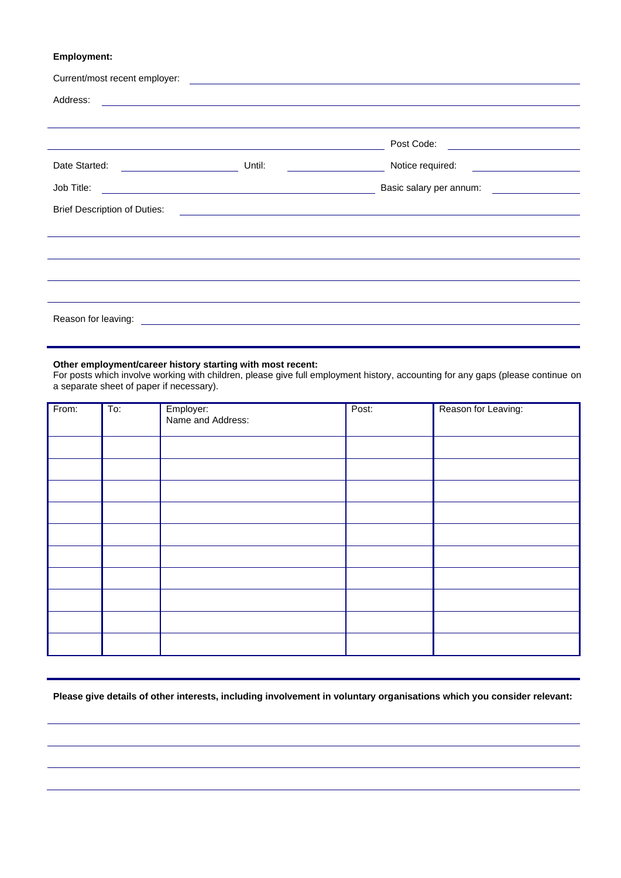# **Employment:**

| Current/most recent employer:       |                                                                                                                       | <u> 1980 - Antonio Alemania, prima postala de la contrada de la contrada de la contrada de la contrada de la con</u>  |  |
|-------------------------------------|-----------------------------------------------------------------------------------------------------------------------|-----------------------------------------------------------------------------------------------------------------------|--|
| Address:                            |                                                                                                                       | <u> 1989 - Jan Samuel Barbara, margaret e a seu a component de la propia de la propia de la propia de la propia d</u> |  |
|                                     |                                                                                                                       |                                                                                                                       |  |
|                                     |                                                                                                                       | Post Code: <u>_______________________</u>                                                                             |  |
| Date Started:                       | Until:                                                                                                                |                                                                                                                       |  |
| Job Title:                          | <u> 1989 - Johann Barn, mars ann an t-Amhainn an t-Amhainn an t-Amhainn an t-Amhainn an t-Amhainn an t-Amhainn an</u> | Basic salary per annum:                                                                                               |  |
| <b>Brief Description of Duties:</b> |                                                                                                                       | <u> Alexandria de la contrada de la contrada de la contrada de la contrada de la contrada de la contrada de la c</u>  |  |
|                                     |                                                                                                                       |                                                                                                                       |  |
|                                     |                                                                                                                       |                                                                                                                       |  |
|                                     |                                                                                                                       |                                                                                                                       |  |
|                                     |                                                                                                                       |                                                                                                                       |  |
| Reason for leaving:                 | <u> 1980 - Andrea Station, amerikansk politik (* 1950)</u>                                                            |                                                                                                                       |  |

#### **Other employment/career history starting with most recent:**

For posts which involve working with children, please give full employment history, accounting for any gaps (please continue on a separate sheet of paper if necessary).

| From: | $\overline{\mathrm{To}}$ : | Employer:<br>Name and Address: | Post: | Reason for Leaving: |
|-------|----------------------------|--------------------------------|-------|---------------------|
|       |                            |                                |       |                     |
|       |                            |                                |       |                     |
|       |                            |                                |       |                     |
|       |                            |                                |       |                     |
|       |                            |                                |       |                     |
|       |                            |                                |       |                     |
|       |                            |                                |       |                     |
|       |                            |                                |       |                     |
|       |                            |                                |       |                     |
|       |                            |                                |       |                     |

**Please give details of other interests, including involvement in voluntary organisations which you consider relevant:**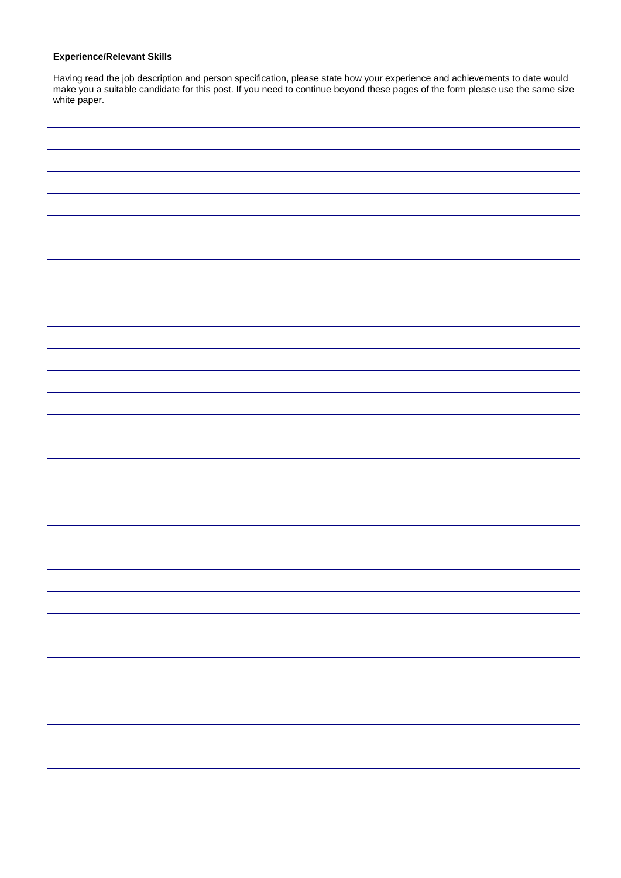# **Experience/Relevant Skills**

Having read the job description and person specification, please state how your experience and achievements to date would make you a suitable candidate for this post. If you need to continue beyond these pages of the form please use the same size white paper.

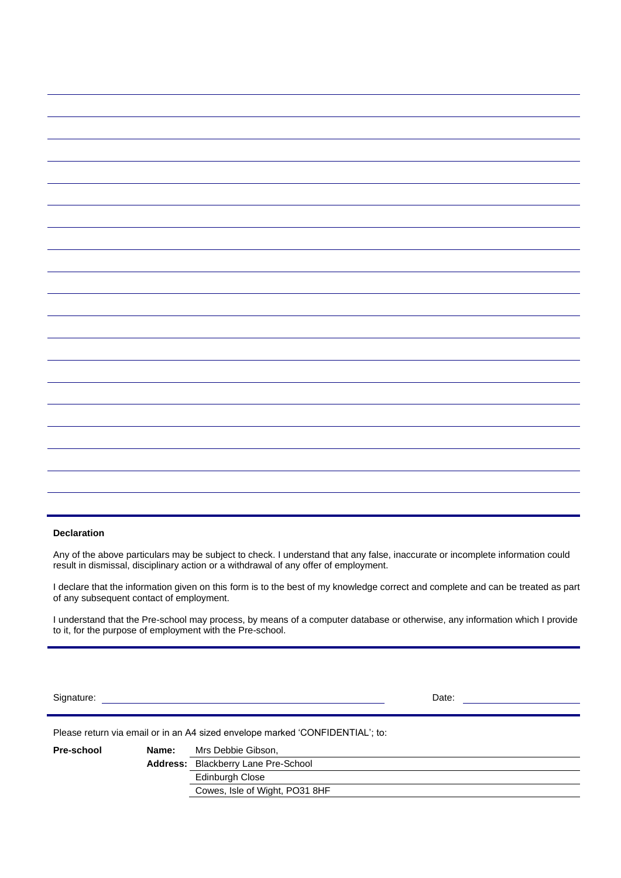#### **Declaration**

Any of the above particulars may be subject to check. I understand that any false, inaccurate or incomplete information could result in dismissal, disciplinary action or a withdrawal of any offer of employment.

I declare that the information given on this form is to the best of my knowledge correct and complete and can be treated as part of any subsequent contact of employment.

I understand that the Pre-school may process, by means of a computer database or otherwise, any information which I provide to it, for the purpose of employment with the Pre-school.

Signature: Date:

Please return via email or in an A4 sized envelope marked 'CONFIDENTIAL'; to:

| Pre-school | Name: | Mrs Debbie Gibson,                         |
|------------|-------|--------------------------------------------|
|            |       | <b>Address:</b> Blackberry Lane Pre-School |
|            |       | Edinburgh Close                            |
|            |       | Cowes, Isle of Wight, PO31 8HF             |
|            |       |                                            |